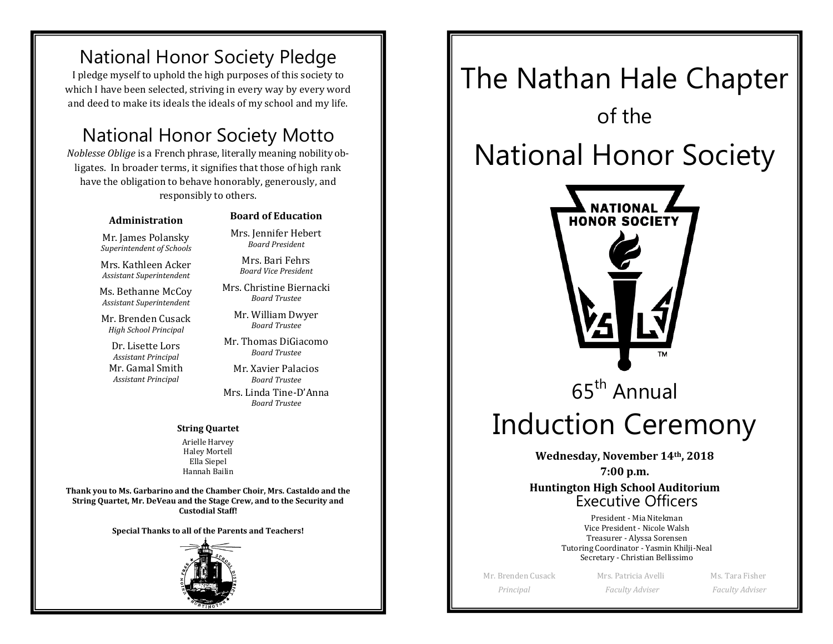### National Honor Society Pledge

I pledge myself to uphold the high purposes of this society to which I have been selected, striving in every way by every word and deed to make its ideals the ideals of my school and my life.

### National Honor Society Motto

*Noblesse Oblige* is a French phrase, literally meaning nobility obligates. In broader terms, it signifies that those of high rank have the obligation to behave honorably, generously, and responsibly to others.

#### **Administration**

Mr. James Polansky *Superintendent of Schools*

Mrs. Kathleen Acker *Assistant Superintendent*

Ms. Bethanne McCoy *Assistant Superintendent*

Mr. Brenden Cusack *High School Principal*

Dr. Lisette Lors *Assistant Principal* Mr. Gamal Smith *Assistant Principal*

#### **Board of Education**

Mrs. Jennifer Hebert *Board President*

Mrs. Bari Fehrs *Board Vice President*

Mrs. Christine Biernacki *Board Trustee*

Mr. William Dwyer *Board Trustee*

Mr. Thomas DiGiacomo *Board Trustee*

Mr. Xavier Palacios *Board Trustee* Mrs. Linda Tine-D'Anna *Board Trustee*

#### **String Quartet**

Arielle Harvey Haley Mortell Ella Siepel Hannah Bailin

**Thank you to Ms. Garbarino and the Chamber Choir, Mrs. Castaldo and the String Quartet, Mr. DeVeau and the Stage Crew, and to the Security and Custodial Staff!**

**Special Thanks to all of the Parents and Teachers!**



# The Nathan Hale Chapter of the National Honor Society **NATIONAL HONOR SOCIETY** 65th Annual Induction Ceremony **Wednesday, November 14th, 2018 7:00 p.m. Huntington High School Auditorium**Executive Officers President - Mia Nitekman Vice President - Nicole Walsh Treasurer - Alyssa Sorensen Tutoring Coordinator - Yasmin Khilji-Neal Secretary - Christian Bellissimo

Mr. Brenden Cusack Mrs. Patricia Avelli Ms. Tara Fisher

 *Principal Faculty Adviser Faculty Adviser*